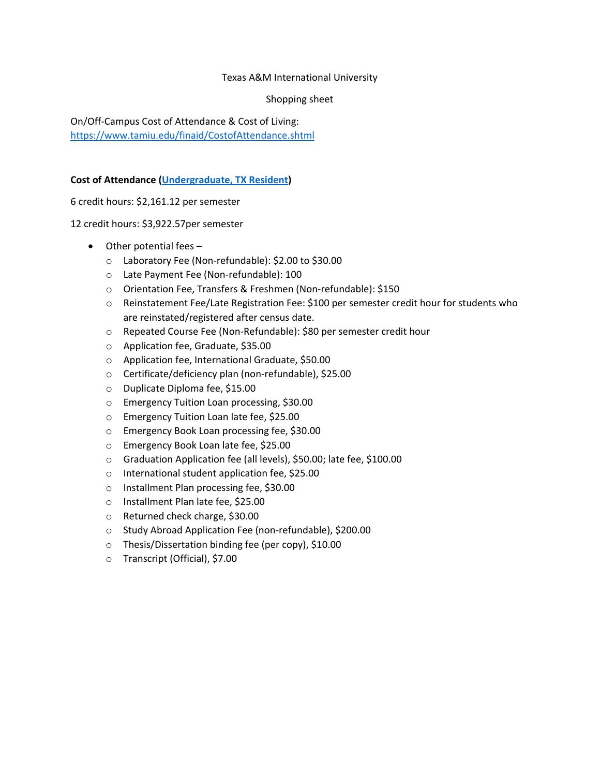## Texas A&M International University

### Shopping sheet

On/Off-Campus Cost of Attendance & Cost of Living: <https://www.tamiu.edu/finaid/CostofAttendance.shtml>

## **Cost of Attendance [\(Undergraduate, TX Resident\)](https://www.tamiu.edu/financialaid/coa/coa2122ug.shtml)**

6 credit hours: \$2,161.12 per semester

12 credit hours: \$3,922.57per semester

- Other potential fees
	- o Laboratory Fee (Non-refundable): \$2.00 to \$30.00
	- o Late Payment Fee (Non-refundable): 100
	- o Orientation Fee, Transfers & Freshmen (Non-refundable): \$150
	- o Reinstatement Fee/Late Registration Fee: \$100 per semester credit hour for students who are reinstated/registered after census date.
	- o Repeated Course Fee (Non-Refundable): \$80 per semester credit hour
	- o Application fee, Graduate, \$35.00
	- o Application fee, International Graduate, \$50.00
	- o Certificate/deficiency plan (non-refundable), \$25.00
	- o Duplicate Diploma fee, \$15.00
	- o Emergency Tuition Loan processing, \$30.00
	- o Emergency Tuition Loan late fee, \$25.00
	- o Emergency Book Loan processing fee, \$30.00
	- o Emergency Book Loan late fee, \$25.00
	- o Graduation Application fee (all levels), \$50.00; late fee, \$100.00
	- o International student application fee, \$25.00
	- o Installment Plan processing fee, \$30.00
	- o Installment Plan late fee, \$25.00
	- o Returned check charge, \$30.00
	- o Study Abroad Application Fee (non-refundable), \$200.00
	- o Thesis/Dissertation binding fee (per copy), \$10.00
	- o Transcript (Official), \$7.00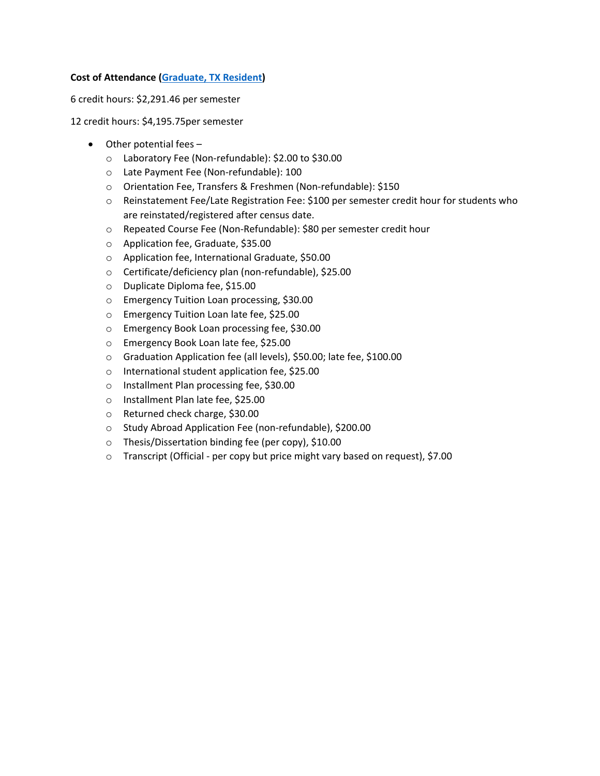# **Cost of Attendance [\(Graduate, TX Resident\)](https://www.tamiu.edu/financialaid/coa/coa2021grad.shtml)**

6 credit hours: \$2,291.46 per semester

12 credit hours: \$4,195.75per semester

- Other potential fees
	- o Laboratory Fee (Non-refundable): \$2.00 to \$30.00
	- o Late Payment Fee (Non-refundable): 100
	- o Orientation Fee, Transfers & Freshmen (Non-refundable): \$150
	- o Reinstatement Fee/Late Registration Fee: \$100 per semester credit hour for students who are reinstated/registered after census date.
	- o Repeated Course Fee (Non-Refundable): \$80 per semester credit hour
	- o Application fee, Graduate, \$35.00
	- o Application fee, International Graduate, \$50.00
	- o Certificate/deficiency plan (non-refundable), \$25.00
	- o Duplicate Diploma fee, \$15.00
	- o Emergency Tuition Loan processing, \$30.00
	- o Emergency Tuition Loan late fee, \$25.00
	- o Emergency Book Loan processing fee, \$30.00
	- o Emergency Book Loan late fee, \$25.00
	- o Graduation Application fee (all levels), \$50.00; late fee, \$100.00
	- o International student application fee, \$25.00
	- o Installment Plan processing fee, \$30.00
	- o Installment Plan late fee, \$25.00
	- o Returned check charge, \$30.00
	- o Study Abroad Application Fee (non-refundable), \$200.00
	- o Thesis/Dissertation binding fee (per copy), \$10.00
	- o Transcript (Official per copy but price might vary based on request), \$7.00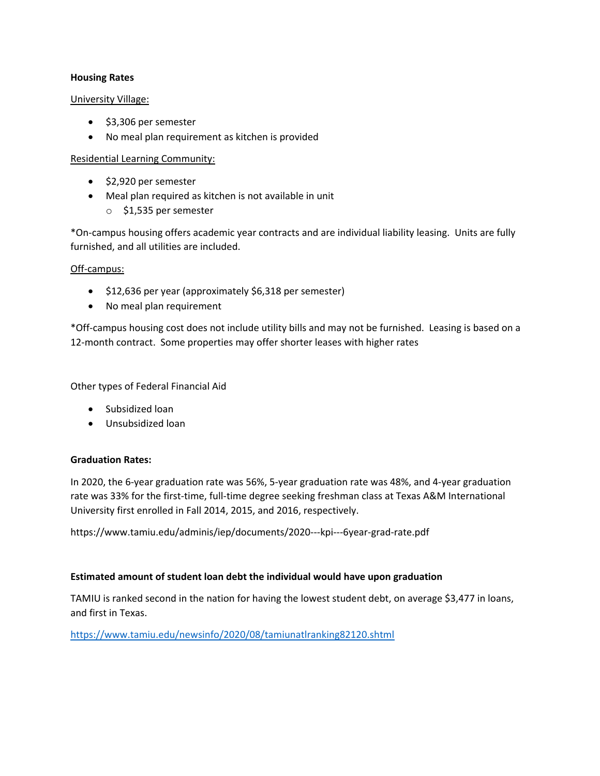## **Housing Rates**

### University Village:

- \$3,306 per semester
- No meal plan requirement as kitchen is provided

# Residential Learning Community:

- \$2,920 per semester
- Meal plan required as kitchen is not available in unit
	- o \$1,535 per semester

\*On-campus housing offers academic year contracts and are individual liability leasing. Units are fully furnished, and all utilities are included.

Off-campus:

- \$12,636 per year (approximately \$6,318 per semester)
- No meal plan requirement

\*Off-campus housing cost does not include utility bills and may not be furnished. Leasing is based on a 12-month contract. Some properties may offer shorter leases with higher rates

Other types of Federal Financial Aid

- Subsidized loan
- Unsubsidized loan

## **Graduation Rates:**

In 2020, the 6-year graduation rate was 56%, 5-year graduation rate was 48%, and 4-year graduation rate was 33% for the first-time, full-time degree seeking freshman class at Texas A&M International University first enrolled in Fall 2014, 2015, and 2016, respectively.

https://www.tamiu.edu/adminis/iep/documents/2020---kpi---6year-grad-rate.pdf

## **Estimated amount of student loan debt the individual would have upon graduation**

TAMIU is ranked second in the nation for having the lowest student debt, on average \$3,477 in loans, and first in Texas.

<https://www.tamiu.edu/newsinfo/2020/08/tamiunatlranking82120.shtml>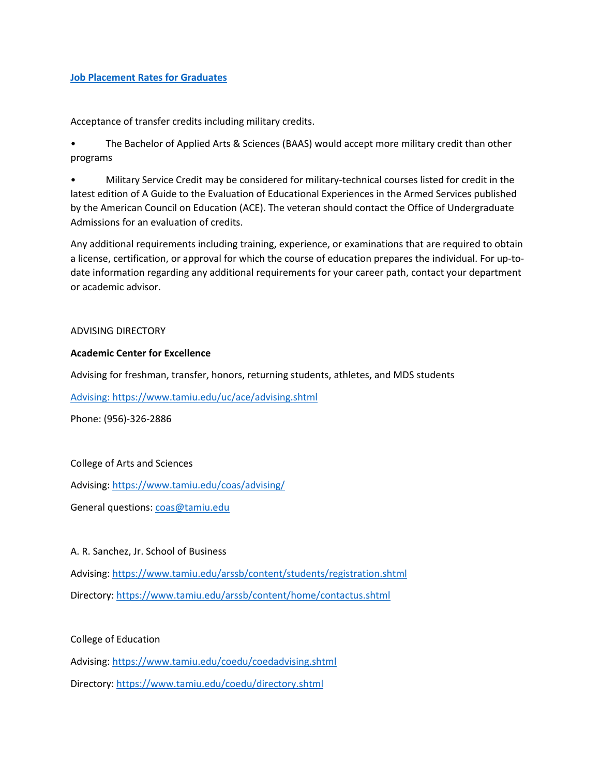### **[Job Placement Rates for Graduates](https://www.tamiu.edu/career/documents/2016-all-gainful-employment-rate-tamiu.pdf)**

Acceptance of transfer credits including military credits.

• The Bachelor of Applied Arts & Sciences (BAAS) would accept more military credit than other programs

• Military Service Credit may be considered for military-technical courses listed for credit in the latest edition of A Guide to the Evaluation of Educational Experiences in the Armed Services published by the American Council on Education (ACE). The veteran should contact the Office of Undergraduate Admissions for an evaluation of credits.

Any additional requirements including training, experience, or examinations that are required to obtain a license, certification, or approval for which the course of education prepares the individual. For up-todate information regarding any additional requirements for your career path, contact your department or academic advisor.

### ADVISING DIRECTORY

### **Academic Center for Excellence**

Advising for freshman, transfer, honors, returning students, athletes, and MDS students

[Advising: https://www.tamiu.edu/uc/ace/advising.shtml](advising:%20https://www.tamiu.edu/uc/ace/advising.shtml)

Phone: (956)-326-2886

#### College of Arts and Sciences

Advising:<https://www.tamiu.edu/coas/advising/>

General questions[: coas@tamiu.edu](mailto:coas@tamiu.edu)

#### A. R. Sanchez, Jr. School of Business

Advising:<https://www.tamiu.edu/arssb/content/students/registration.shtml> Directory:<https://www.tamiu.edu/arssb/content/home/contactus.shtml>

College of Education

Advising:<https://www.tamiu.edu/coedu/coedadvising.shtml>

Directory:<https://www.tamiu.edu/coedu/directory.shtml>